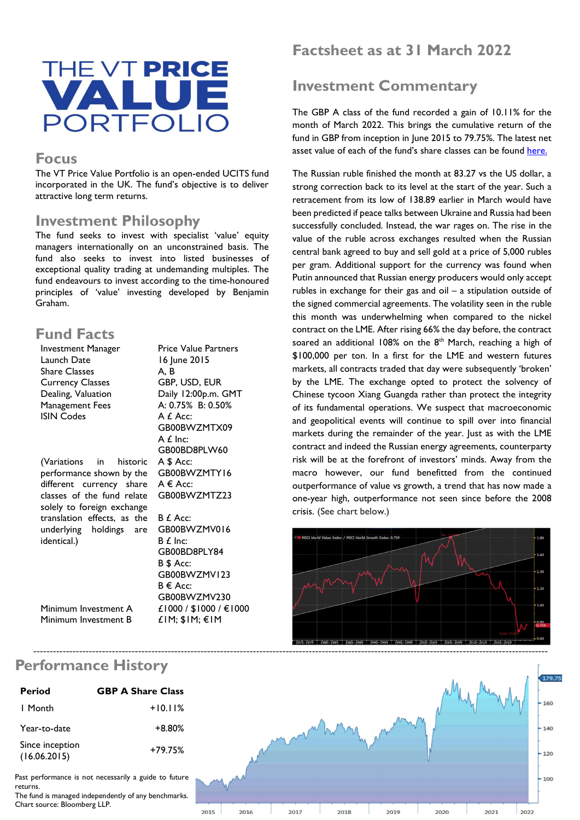

#### Focus

The VT Price Value Portfolio is an open-ended UCITS fund incorporated in the UK. The fund's objective is to deliver attractive long term returns.

#### Investment Philosophy

The fund seeks to invest with specialist 'value' equity managers internationally on an unconstrained basis. The fund also seeks to invest into listed businesses of exceptional quality trading at undemanding multiples. The fund endeavours to invest according to the time-honoured principles of 'value' investing developed by Benjamin Graham.

### Fund Facts

| Investment Manager          | <b>Price Value Partners</b> |
|-----------------------------|-----------------------------|
| Launch Date                 | 16 June 2015                |
| Share Classes               | A. B                        |
| <b>Currency Classes</b>     | GBP, USD, EUR               |
| Dealing, Valuation          | Daily 12:00p.m. GMT         |
| Management Fees             | A: 0.75% B: 0.50%           |
| <b>ISIN Codes</b>           | A £ Acc:                    |
|                             | GB00BWZMTX09                |
|                             | A £ Inc:                    |
|                             | GB00BD8PLW60                |
| (Variations in historic     | A \$ Acc:                   |
| performance shown by the    | GB00BWZMTY16                |
| different currency share    | $A \in Acc$                 |
| classes of the fund relate  | GB00BWZMTZ23                |
| solely to foreign exchange  |                             |
| translation effects, as the | B £ Acc:                    |
| underlying holdings are     | GB00BWZMV016                |
| identical.)                 | $B f$ Inc:                  |
|                             | GB00BD8PLY84                |
|                             | B \$ Acc:                   |
|                             | GB00BWZMV123                |
|                             | B € Acc:                    |
|                             | GB00BWZMV230                |
| Minimum Investment A        | £1000 / \$1000 / €1000      |

£1M; \$1M; €1M

Minimum Investment A Minimum Investment B

# Factsheet as at 31 March 2022

# Investment Commentary

The GBP A class of the fund recorded a gain of 10.11% for the month of March 2022. This brings the cumulative return of the fund in GBP from inception in June 2015 to 79.75%. The latest net asset value of each of the fund's share classes can be found here.

The Russian ruble finished the month at 83.27 vs the US dollar, a strong correction back to its level at the start of the year. Such a retracement from its low of 138.89 earlier in March would have been predicted if peace talks between Ukraine and Russia had been successfully concluded. Instead, the war rages on. The rise in the value of the ruble across exchanges resulted when the Russian central bank agreed to buy and sell gold at a price of 5,000 rubles per gram. Additional support for the currency was found when Putin announced that Russian energy producers would only accept rubles in exchange for their gas and oil – a stipulation outside of the signed commercial agreements. The volatility seen in the ruble this month was underwhelming when compared to the nickel contract on the LME. After rising 66% the day before, the contract soared an additional 108% on the  $8<sup>th</sup>$  March, reaching a high of \$100,000 per ton. In a first for the LME and western futures markets, all contracts traded that day were subsequently 'broken' by the LME. The exchange opted to protect the solvency of Chinese tycoon Xiang Guangda rather than protect the integrity of its fundamental operations. We suspect that macroeconomic and geopolitical events will continue to spill over into financial markets during the remainder of the year. Just as with the LME contract and indeed the Russian energy agreements, counterparty risk will be at the forefront of investors' minds. Away from the macro however, our fund benefitted from the continued outperformance of value vs growth, a trend that has now made a one-year high, outperformance not seen since before the 2008 crisis. (See chart below.)





| <b>Period</b>                   | <b>GBP A Share Class</b> |
|---------------------------------|--------------------------|
| I Month                         | $+10.11%$                |
| Year-to-date                    | $+8.80%$                 |
| Since inception<br>(16.06.2015) | $+79.75%$                |

Past performance is not necessarily a guide to future returns.

The fund is managed independently of any benchmarks. Chart source: Bloomberg LLP.